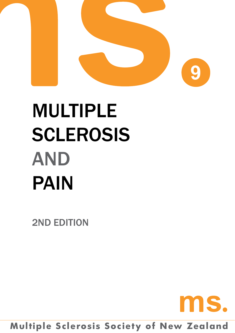

# **MULTIPLE SCLEROSIS AND** pAIN

2ND EDITION



# **Multiple Sclerosis Society of New Zealand**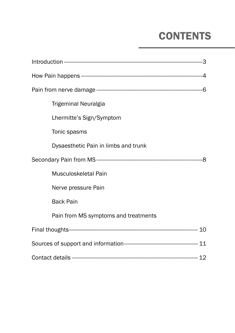# **CONTENTS**

| Trigeminal Neuralgia                 |   |
|--------------------------------------|---|
| Lhermitte's Sign/Symptom             |   |
| Tonic spasms                         |   |
| Dysaesthetic Pain in limbs and trunk |   |
|                                      | 8 |
| Musculoskeletal Pain                 |   |
| Nerve pressure Pain                  |   |
| <b>Back Pain</b>                     |   |
| Pain from MS symptoms and treatments |   |
|                                      |   |
|                                      |   |
|                                      |   |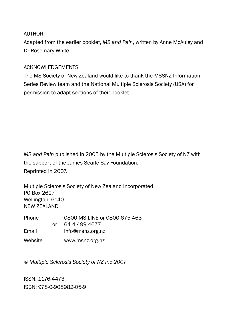#### AUTHOR

Adapted from the earlier booklet, *MS and Pain*, written by Anne McAuley and Dr Rosemary White.

#### Acknowledgements

The MS Society of New Zealand would like to thank the MSSNZ Information Series Review team and the National Multiple Sclerosis Society (USA) for permission to adapt sections of their booklet.

*MS and Pain* published in 2005 by the Multiple Sclerosis Society of NZ with the support of the James Searle Say Foundation. Reprinted in 2007.

Multiple Sclerosis Society of New Zealand Incorporated PO Box 2627 Wellington 6140 NEW ZEALAND

| <b>Phone</b> |    | 0800 MS LINE or 0800 675 463 |
|--------------|----|------------------------------|
|              | Ωr | 64 4 4 9 4 4 6 7 7           |
| Email        |    | info@msnz.org.nz             |
| Website      |    | www.msnz.org.nz              |

*© Multiple Sclerosis Society of NZ Inc 2007*

ISSN: 1176-4473 ISBN: 978-0-908982-05-9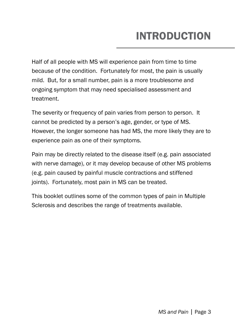# INTRODUCTION

Half of all people with MS will experience pain from time to time because of the condition. Fortunately for most, the pain is usually mild. But, for a small number, pain is a more troublesome and ongoing symptom that may need specialised assessment and treatment.

The severity or frequency of pain varies from person to person. It cannot be predicted by a person's age, gender, or type of MS. However, the longer someone has had MS, the more likely they are to experience pain as one of their symptoms.

Pain may be directly related to the disease itself (e.g. pain associated with nerve damage), or it may develop because of other MS problems (e.g. pain caused by painful muscle contractions and stiffened joints). Fortunately, most pain in MS can be treated.

This booklet outlines some of the common types of pain in Multiple Sclerosis and describes the range of treatments available.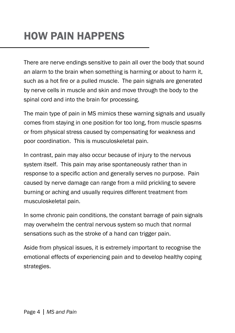# HOW PAIN HAPPENS

There are nerve endings sensitive to pain all over the body that sound an alarm to the brain when something is harming or about to harm it, such as a hot fire or a pulled muscle. The pain signals are generated by nerve cells in muscle and skin and move through the body to the spinal cord and into the brain for processing.

The main type of pain in MS mimics these warning signals and usually comes from staying in one position for too long, from muscle spasms or from physical stress caused by compensating for weakness and poor coordination. This is musculoskeletal pain.

In contrast, pain may also occur because of injury to the nervous system itself. This pain may arise spontaneously rather than in response to a specific action and generally serves no purpose. Pain caused by nerve damage can range from a mild prickling to severe burning or aching and usually requires different treatment from musculoskeletal pain.

In some chronic pain conditions, the constant barrage of pain signals may overwhelm the central nervous system so much that normal sensations such as the stroke of a hand can trigger pain.

Aside from physical issues, it is extremely important to recognise the emotional effects of experiencing pain and to develop healthy coping strategies.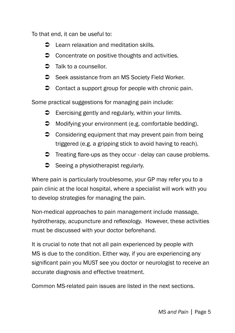To that end, it can be useful to:

- **C** Learn relaxation and meditation skills.
- $\bullet$  Concentrate on positive thoughts and activities.
- $\supset$  Talk to a counsellor.
- Seek assistance from an MS Society Field Worker.
- $\bullet$  Contact a support group for people with chronic pain.

Some practical suggestions for managing pain include:

- $\supset$  Exercising gently and regularly, within your limits.
- $\supset$  Modifying your environment (e.g. comfortable bedding).
- $\bullet$  Considering equipment that may prevent pain from being triggered (e.g. a gripping stick to avoid having to reach).
- $\supset$  Treating flare-ups as they occur delay can cause problems.
- $\supset$  Seeing a physiotherapist regularly.

Where pain is particularly troublesome, your GP may refer you to a pain clinic at the local hospital, where a specialist will work with you to develop strategies for managing the pain.

Non-medical approaches to pain management include massage, hydrotherapy, acupuncture and reflexology. However, these activities must be discussed with your doctor beforehand.

It is crucial to note that not all pain experienced by people with MS is due to the condition. Either way, if you are experiencing any significant pain you MUST see you doctor or neurologist to receive an accurate diagnosis and effective treatment.

Common MS-related pain issues are listed in the next sections.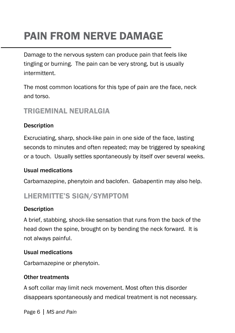# PAIN FROM NERVE DAMAGE

Damage to the nervous system can produce pain that feels like tingling or burning. The pain can be very strong, but is usually intermittent.

The most common locations for this type of pain are the face, neck and torso.

# Trigeminal Neuralgia

## **Description**

Excruciating, sharp, shock-like pain in one side of the face, lasting seconds to minutes and often repeated; may be triggered by speaking or a touch. Usually settles spontaneously by itself over several weeks.

### Usual medications

Carbamazepine, phenytoin and baclofen. Gabapentin may also help.

# Lhermitte's Sign/Symptom

### **Description**

A brief, stabbing, shock-like sensation that runs from the back of the head down the spine, brought on by bending the neck forward. It is not always painful.

### Usual medications

Carbamazepine or phenytoin.

### Other treatments

A soft collar may limit neck movement. Most often this disorder disappears spontaneously and medical treatment is not necessary.

Page 6 | *MS and Pain*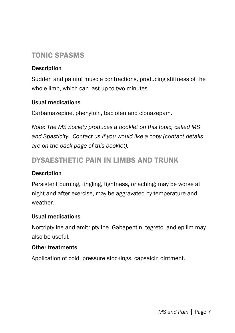# Tonic Spasms

### **Description**

Sudden and painful muscle contractions, producing stiffness of the whole limb, which can last up to two minutes.

#### Usual medications

Carbamazepine, phenytoin, baclofen and clonazepam.

*Note: The MS Society produces a booklet on this topic, called MS and Spasticity. Contact us if you would like a copy (contact details are on the back page of this booklet).*

# Dysaesthetic Pain in Limbs and Trunk

#### **Description**

Persistent burning, tingling, tightness, or aching; may be worse at night and after exercise, may be aggravated by temperature and weather.

#### Usual medications

Nortriptyline and amitriptyline. Gabapentin, tegretol and epilim may also be useful.

#### Other treatments

Application of cold, pressure stockings, capsaicin ointment.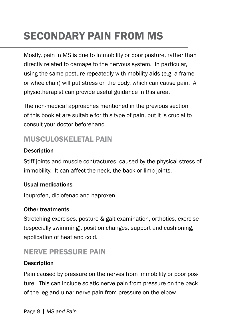# SECONDARY PAIN FROM MS

Mostly, pain in MS is due to immobility or poor posture, rather than directly related to damage to the nervous system. In particular, using the same posture repeatedly with mobility aids (e.g. a frame or wheelchair) will put stress on the body, which can cause pain. A physiotherapist can provide useful guidance in this area.

The non-medical approaches mentioned in the previous section of this booklet are suitable for this type of pain, but it is crucial to consult your doctor beforehand.

# MUSCUI OSKEI ETAL PAIN

## **Description**

Stiff joints and muscle contractures, caused by the physical stress of immobility. It can affect the neck, the back or limb joints.

### Usual medications

Ibuprofen, diclofenac and naproxen.

### Other treatments

Stretching exercises, posture & gait examination, orthotics, exercise (especially swimming), position changes, support and cushioning, application of heat and cold.

# Nerve Pressure Pain

# **Description**

Pain caused by pressure on the nerves from immobility or poor posture. This can include sciatic nerve pain from pressure on the back of the leg and ulnar nerve pain from pressure on the elbow.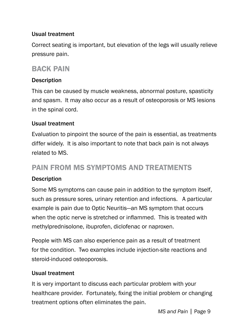### Usual treatment

Correct seating is important, but elevation of the legs will usually relieve pressure pain.

# Back Pain

#### **Description**

This can be caused by muscle weakness, abnormal posture, spasticity and spasm. It may also occur as a result of osteoporosis or MS lesions in the spinal cord.

#### Usual treatment

Evaluation to pinpoint the source of the pain is essential, as treatments differ widely. It is also important to note that back pain is not always related to MS.

# Pain from MS symptoms and treatments

#### **Description**

Some MS symptoms can cause pain in addition to the symptom itself, such as pressure sores, urinary retention and infections. A particular example is pain due to Optic Neuritis—an MS symptom that occurs when the optic nerve is stretched or inflammed. This is treated with methylprednisolone, ibuprofen, diclofenac or naproxen.

People with MS can also experience pain as a result of treatment for the condition. Two examples include injection-site reactions and steroid-induced osteoporosis.

#### Usual treatment

It is very important to discuss each particular problem with your healthcare provider. Fortunately, fixing the initial problem or changing treatment options often eliminates the pain.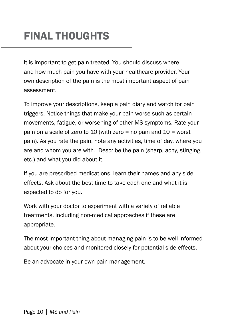# FINAL THOUGHTS

It is important to get pain treated. You should discuss where and how much pain you have with your healthcare provider. Your own description of the pain is the most important aspect of pain assessment.

To improve your descriptions, keep a pain diary and watch for pain triggers. Notice things that make your pain worse such as certain movements, fatigue, or worsening of other MS symptoms. Rate your pain on a scale of zero to 10 (with zero = no pain and 10 = worst pain). As you rate the pain, note any activities, time of day, where you are and whom you are with. Describe the pain (sharp, achy, stinging, etc.) and what you did about it.

If you are prescribed medications, learn their names and any side effects. Ask about the best time to take each one and what it is expected to do for you.

Work with your doctor to experiment with a variety of reliable treatments, including non-medical approaches if these are appropriate.

The most important thing about managing pain is to be well informed about your choices and monitored closely for potential side effects.

Be an advocate in your own pain management.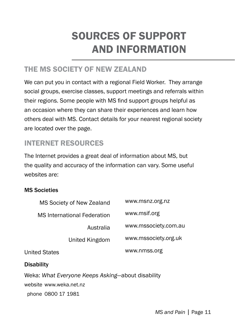# sources of support and information

# the ms society of NEW Zealand

We can put you in contact with a regional Field Worker. They arrange social groups, exercise classes, support meetings and referrals within their regions. Some people with MS find support groups helpful as an occasion where they can share their experiences and learn how others deal with MS. Contact details for your nearest regional society are located over the page.

# INTERNET RESOURCES

The Internet provides a great deal of information about MS, but the quality and accuracy of the information can vary. Some useful websites are:

### MS Societies

| MS Society of New Zealand                         | www.msnz.org.nz      |  |  |  |
|---------------------------------------------------|----------------------|--|--|--|
| <b>MS</b> International Federation                | www.msif.org         |  |  |  |
| Australia                                         | www.mssociety.com.au |  |  |  |
| United Kingdom                                    | www.mssociety.org.uk |  |  |  |
| <b>United States</b>                              | www.nmss.org         |  |  |  |
| <b>Disability</b>                                 |                      |  |  |  |
| Weka: What Everyone Keeps Asking-about disability |                      |  |  |  |
| website www.weka.net.nz                           |                      |  |  |  |

phone 0800 17 1981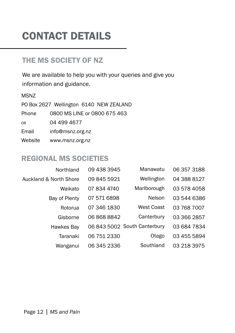# CONTACT DETAILS

# the ms society OF NZ

We are available to help you with your queries and give you information and guidance.

#### MSNZ

PO Box 2627 Wellington 6140 NEW ZEALAND Phone 0800 MS LINE or 0800 675 463 or 04 499 4677 Email info@msnz.org.nz Website www.msnz.org.nz

# REGIONAL MS SOCIETIES

| Northland                         | 09 438 3945 | Manawatu                     | 06 357 3188 |
|-----------------------------------|-------------|------------------------------|-------------|
| <b>Auckland &amp; North Shore</b> | 09 845 5921 | Wellington                   | 04 388 8127 |
| Waikato                           | 07 834 4740 | Marlborough                  | 03 578 4058 |
| Bay of Plenty                     | 07 571 6898 | Nelson                       | 03 544 6386 |
| Rotorua                           | 07 346 1830 | West Coast                   | 03 768 7007 |
| Gisborne                          | 06 868 8842 | Canterbury                   | 03 366 2857 |
| Hawkes Bay                        |             | 06 843 5002 South Canterbury | 03 684 7834 |
| Taranaki                          | 06 751 2330 | Otago                        | 03 455 5894 |
| Wanganui                          | 06 345 2336 | Southland                    | 03 218 3975 |